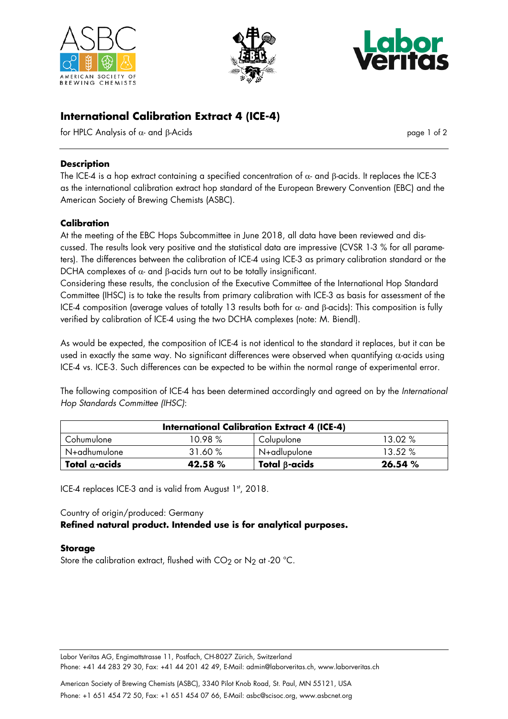





# **International Calibration Extract 4 (ICE-4)**

for HPLC Analysis of  $α$ - and β-Acids page 1 of 2

## **Description**

The ICE-4 is a hop extract containing a specified concentration of  $\alpha$ - and β-acids. It replaces the ICE-3 as the international calibration extract hop standard of the European Brewery Convention (EBC) and the American Society of Brewing Chemists (ASBC).

#### **Calibration**

At the meeting of the EBC Hops Subcommittee in June 2018, all data have been reviewed and discussed. The results look very positive and the statistical data are impressive (CVSR 1-3 % for all parameters). The differences between the calibration of ICE-4 using ICE-3 as primary calibration standard or the DCHA complexes of  $\alpha$ - and  $\beta$ -acids turn out to be totally insignificant.

Considering these results, the conclusion of the Executive Committee of the International Hop Standard Committee (IHSC) is to take the results from primary calibration with ICE-3 as basis for assessment of the ICE-4 composition (average values of totally 13 results both for  $\alpha$ - and β-acids): This composition is fully verified by calibration of ICE-4 using the two DCHA complexes (note: M. Biendl).

As would be expected, the composition of ICE-4 is not identical to the standard it replaces, but it can be used in exactly the same way. No significant differences were observed when quantifying  $\alpha$ -acids using ICE-4 vs. ICE-3. Such differences can be expected to be within the normal range of experimental error.

The following composition of ICE-4 has been determined accordingly and agreed on by the *International Hop Standards Committee (IHSC)*:

| <b>International Calibration Extract 4 (ICE-4)</b> |         |                      |           |
|----------------------------------------------------|---------|----------------------|-----------|
| Cohumulone                                         | 10.98 % | Colupulone           | 13.02 %   |
| N+adhumulone                                       | 31.60%  | N+adlupulone         | $13.52\%$ |
| Total $\alpha$ -acids                              | 42.58 % | Total $\beta$ -acids | 26.54%    |

ICE-4 replaces ICE-3 and is valid from August 1st, 2018.

## Country of origin/produced: Germany **Refined natural product. Intended use is for analytical purposes.**

#### **Storage**

Store the calibration extract, flushed with  $CO<sub>2</sub>$  or N<sub>2</sub> at -20 °C.